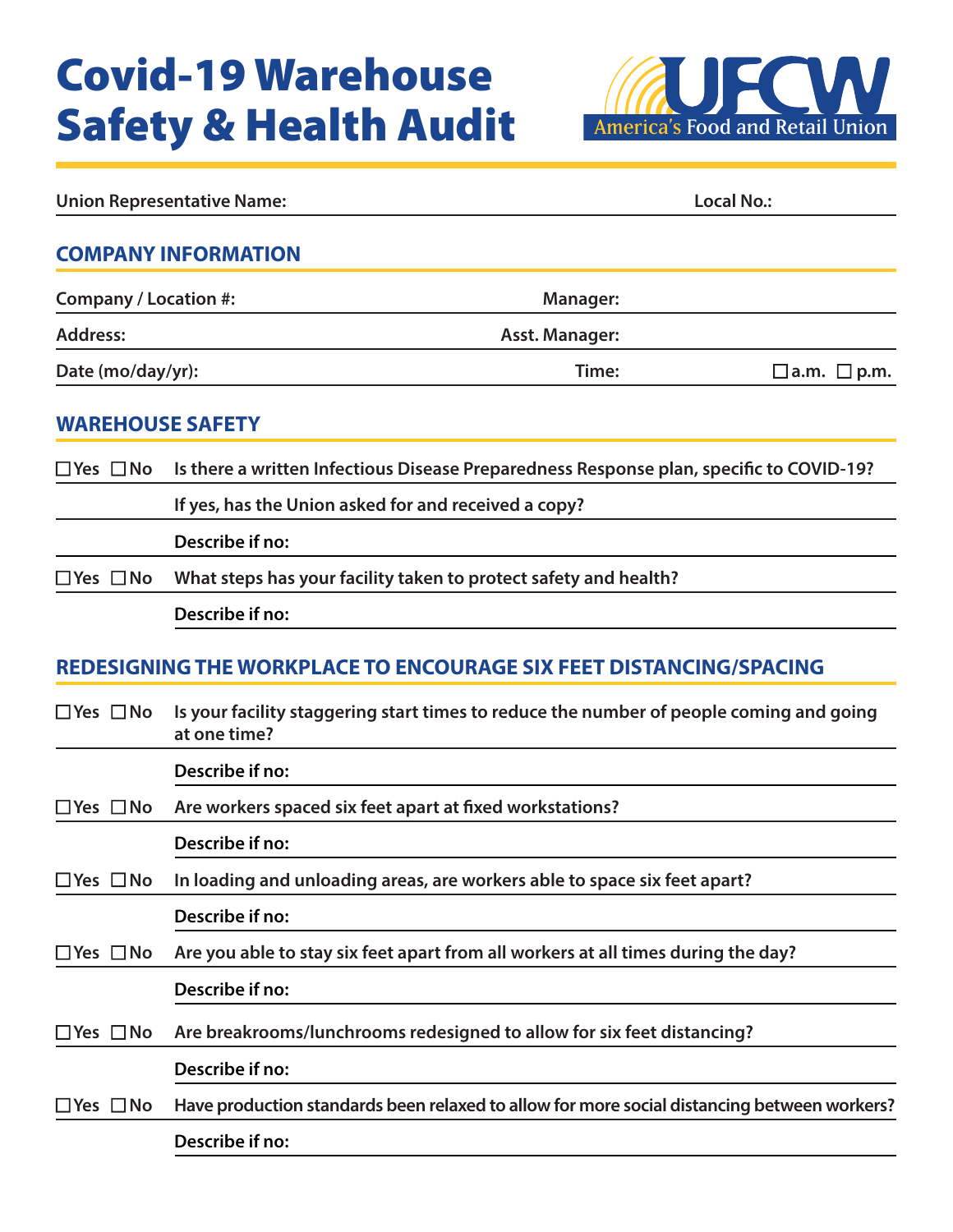# Covid-19 Warehouse Safety & Health Audit



| <b>Union Representative Name:</b> |                                                                                                         |                       | <b>Local No.:</b>       |
|-----------------------------------|---------------------------------------------------------------------------------------------------------|-----------------------|-------------------------|
|                                   | <b>COMPANY INFORMATION</b>                                                                              |                       |                         |
| Company / Location #:             |                                                                                                         | Manager:              |                         |
| <b>Address:</b>                   |                                                                                                         | <b>Asst. Manager:</b> |                         |
| Date (mo/day/yr):                 |                                                                                                         | Time:                 | $\Box$ a.m. $\Box$ p.m. |
| <b>WAREHOUSE SAFETY</b>           |                                                                                                         |                       |                         |
| $\Box$ Yes $\Box$ No              | Is there a written Infectious Disease Preparedness Response plan, specific to COVID-19?                 |                       |                         |
|                                   | If yes, has the Union asked for and received a copy?                                                    |                       |                         |
|                                   | Describe if no:                                                                                         |                       |                         |
| $\square$ Yes $\square$ No        | What steps has your facility taken to protect safety and health?                                        |                       |                         |
|                                   | Describe if no:                                                                                         |                       |                         |
|                                   | REDESIGNING THE WORKPLACE TO ENCOURAGE SIX FEET DISTANCING/SPACING                                      |                       |                         |
| $\Box$ Yes $\Box$ No              | Is your facility staggering start times to reduce the number of people coming and going<br>at one time? |                       |                         |
|                                   | Describe if no:                                                                                         |                       |                         |
| $\Box$ Yes $\Box$ No              | Are workers spaced six feet apart at fixed workstations?                                                |                       |                         |
|                                   | Describe if no:                                                                                         |                       |                         |
| $\Box$ Yes $\Box$ No              | In loading and unloading areas, are workers able to space six feet apart?                               |                       |                         |
|                                   | Describe if no:                                                                                         |                       |                         |
| $\Box$ Yes $\Box$ No              | Are you able to stay six feet apart from all workers at all times during the day?                       |                       |                         |
|                                   | Describe if no:                                                                                         |                       |                         |
| $\square$ Yes $\square$ No        | Are breakrooms/lunchrooms redesigned to allow for six feet distancing?                                  |                       |                         |
|                                   | Describe if no:                                                                                         |                       |                         |
| $\Box$ Yes $\Box$ No              | Have production standards been relaxed to allow for more social distancing between workers?             |                       |                         |
|                                   | Describe if no:                                                                                         |                       |                         |
|                                   |                                                                                                         |                       |                         |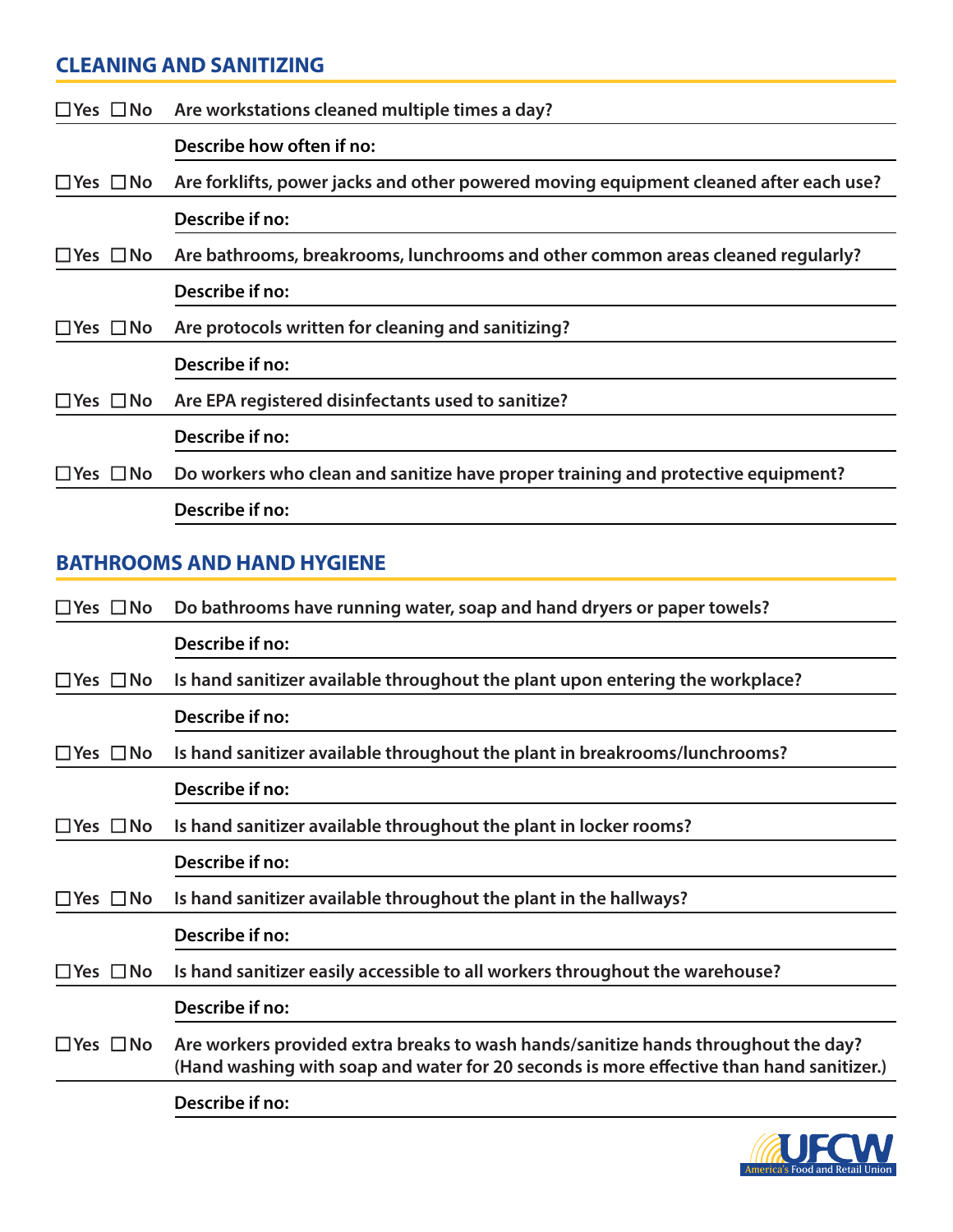# **CLEANING AND SANITIZING**

|                            | $\Box$ Yes $\Box$ No Are workstations cleaned multiple times a day?                   |
|----------------------------|---------------------------------------------------------------------------------------|
|                            | Describe how often if no:                                                             |
| $\square$ Yes $\square$ No | Are forklifts, power jacks and other powered moving equipment cleaned after each use? |
|                            | Describe if no:                                                                       |
| $\Box$ Yes $\Box$ No       | Are bathrooms, breakrooms, lunchrooms and other common areas cleaned regularly?       |
|                            | Describe if no:                                                                       |
| $\Box$ Yes $\Box$ No       | Are protocols written for cleaning and sanitizing?                                    |
|                            | Describe if no:                                                                       |
| $\Box$ Yes $\Box$ No       | Are EPA registered disinfectants used to sanitize?                                    |
|                            | Describe if no:                                                                       |
| $\sqcup$ Yes $\sqcup$ No   | Do workers who clean and sanitize have proper training and protective equipment?      |
|                            | Describe if no:                                                                       |
|                            |                                                                                       |

# **BATHROOMS AND HAND HYGIENE**

| $\sqsupset$ Yes $\Box$ No  | Do bathrooms have running water, soap and hand dryers or paper towels?                                                                                                         |
|----------------------------|--------------------------------------------------------------------------------------------------------------------------------------------------------------------------------|
|                            | Describe if no:                                                                                                                                                                |
| $\square$ Yes $\square$ No | Is hand sanitizer available throughout the plant upon entering the workplace?                                                                                                  |
|                            | Describe if no:                                                                                                                                                                |
| $\square$ Yes $\square$ No | Is hand sanitizer available throughout the plant in breakrooms/lunchrooms?                                                                                                     |
|                            | Describe if no:                                                                                                                                                                |
| $\square$ Yes $\square$ No | Is hand sanitizer available throughout the plant in locker rooms?                                                                                                              |
|                            | Describe if no:                                                                                                                                                                |
| $\square$ Yes $\square$ No | Is hand sanitizer available throughout the plant in the hallways?                                                                                                              |
|                            | Describe if no:                                                                                                                                                                |
| $\Box$ Yes $\Box$ No       | Is hand sanitizer easily accessible to all workers throughout the warehouse?                                                                                                   |
|                            | Describe if no:                                                                                                                                                                |
| $\square$ Yes $\square$ No | Are workers provided extra breaks to wash hands/sanitize hands throughout the day?<br>(Hand washing with soap and water for 20 seconds is more effective than hand sanitizer.) |
|                            | Describe if no:                                                                                                                                                                |
|                            |                                                                                                                                                                                |

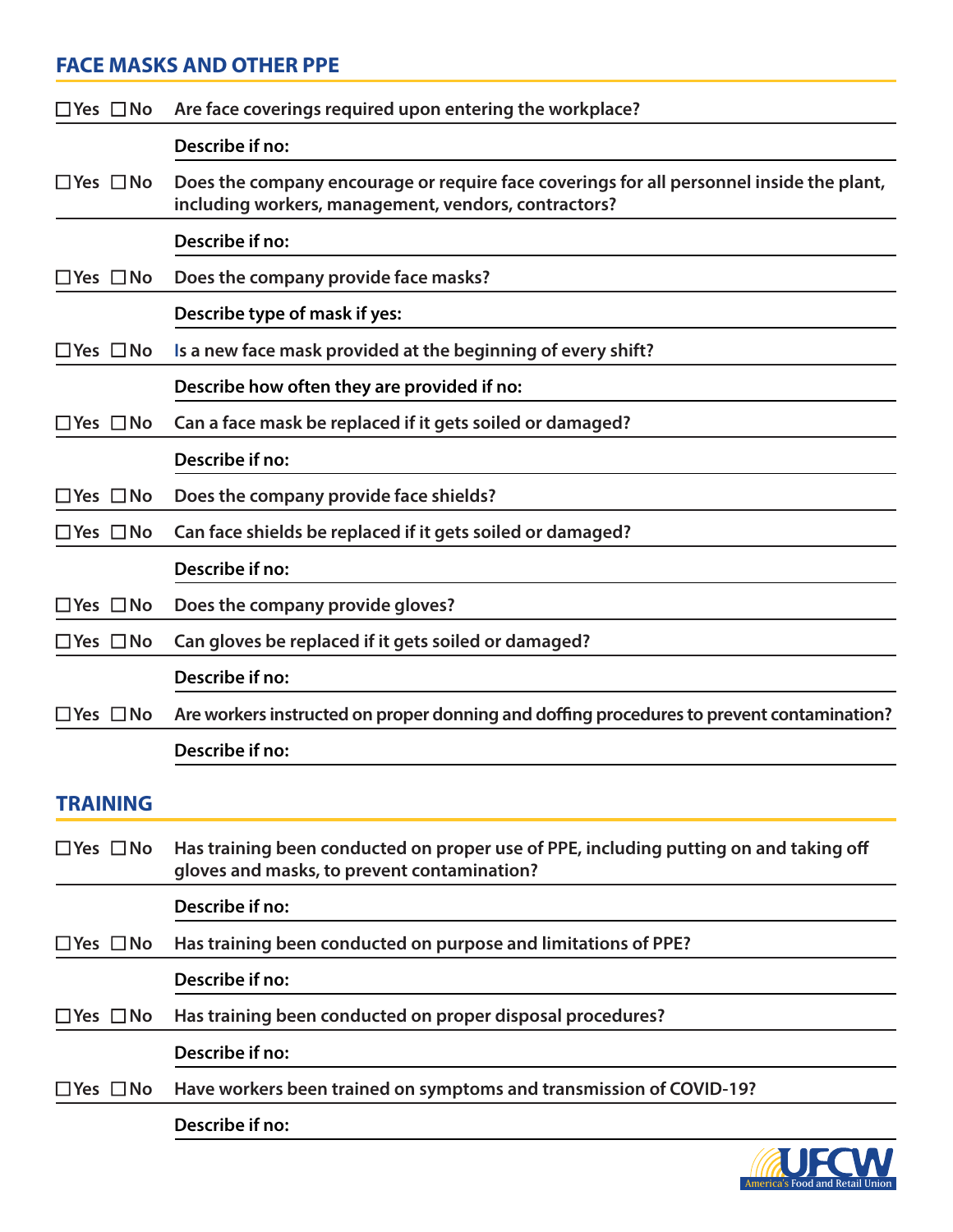# **FACE MASKS AND OTHER PPE**

| $\Box$ Yes $\Box$ No       | Are face coverings required upon entering the workplace?                                                                                         |
|----------------------------|--------------------------------------------------------------------------------------------------------------------------------------------------|
|                            | Describe if no:                                                                                                                                  |
| $\Box$ Yes $\Box$ No       | Does the company encourage or require face coverings for all personnel inside the plant,<br>including workers, management, vendors, contractors? |
|                            | Describe if no:                                                                                                                                  |
| $\Box$ Yes $\Box$ No       | Does the company provide face masks?                                                                                                             |
|                            | Describe type of mask if yes:                                                                                                                    |
| $\Box$ Yes $\Box$ No       | Is a new face mask provided at the beginning of every shift?                                                                                     |
|                            | Describe how often they are provided if no:                                                                                                      |
| $\Box$ Yes $\Box$ No       | Can a face mask be replaced if it gets soiled or damaged?                                                                                        |
|                            | Describe if no:                                                                                                                                  |
| $\square$ Yes $\square$ No | Does the company provide face shields?                                                                                                           |
| $\Box$ Yes $\Box$ No       | Can face shields be replaced if it gets soiled or damaged?                                                                                       |
|                            | Describe if no:                                                                                                                                  |
| $\square$ Yes $\square$ No | Does the company provide gloves?                                                                                                                 |
| $\Box$ Yes $\Box$ No       | Can gloves be replaced if it gets soiled or damaged?                                                                                             |
|                            | Describe if no:                                                                                                                                  |
| $\Box$ Yes $\Box$ No       | Are workers instructed on proper donning and doffing procedures to prevent contamination?                                                        |
|                            | Describe if no:                                                                                                                                  |
| <b>TRAINING</b>            |                                                                                                                                                  |
| $\square$ Yes $\square$ No | Has training been conducted on proper use of PPE, including putting on and taking off<br>gloves and masks, to prevent contamination?             |
|                            | Describe if no:                                                                                                                                  |
| $\Box$ Yes $\Box$ No       | Has training been conducted on purpose and limitations of PPE?                                                                                   |
|                            | Describe if no:                                                                                                                                  |
| $\square$ Yes $\square$ No | Has training been conducted on proper disposal procedures?                                                                                       |
|                            | Describe if no:                                                                                                                                  |
| $\Box$ Yes $\Box$ No       | Have workers been trained on symptoms and transmission of COVID-19?                                                                              |
|                            |                                                                                                                                                  |
|                            | Describe if no:                                                                                                                                  |

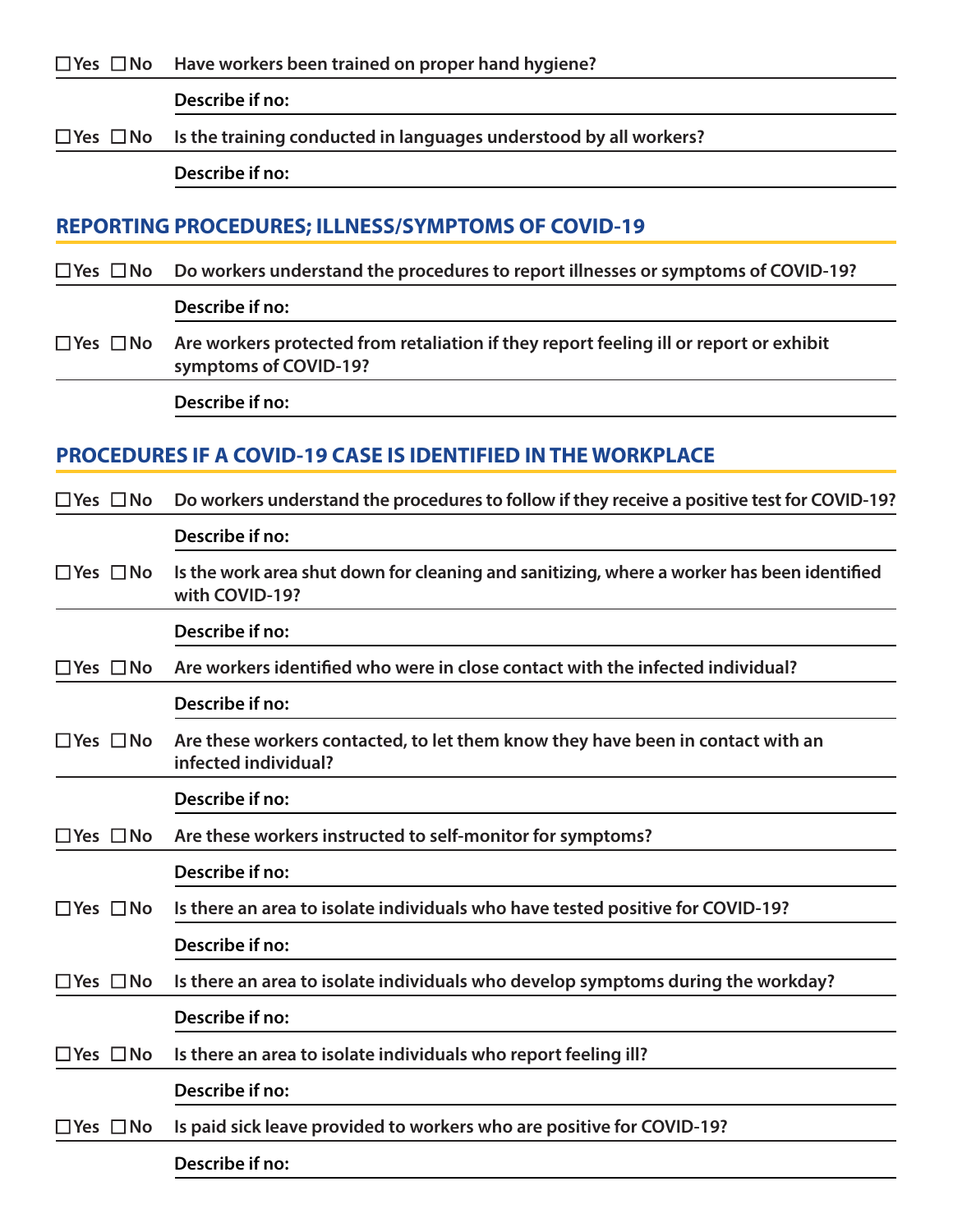□ Yes □ No Have workers been trained on proper hand hygiene?

**Describe if no:**

n **Yes** n **No Is the training conducted in languages understood by all workers?** 

**Describe if no:**

#### **REPORTING PROCEDURES; ILLNESS/SYMPTOMS OF COVID-19**

n **Yes** n **No Do workers understand the procedures to report illnesses or symptoms of COVID-19?** 

**Describe if no:**

□ Yes □ No Are workers protected from retaliation if they report feeling ill or report or exhibit **symptoms of COVID-19?**

**Describe if no:**

## **PROCEDURES IF A COVID-19 CASE IS IDENTIFIED IN THE WORKPLACE**

| $\Box$ Yes $\Box$ No | Do workers understand the procedures to follow if they receive a positive test for COVID-19?                 |
|----------------------|--------------------------------------------------------------------------------------------------------------|
|                      | Describe if no:                                                                                              |
| $\Box$ Yes $\Box$ No | Is the work area shut down for cleaning and sanitizing, where a worker has been identified<br>with COVID-19? |
|                      | Describe if no:                                                                                              |
| $\Box$ Yes $\Box$ No | Are workers identified who were in close contact with the infected individual?                               |
|                      | Describe if no:                                                                                              |
| $\Box$ Yes $\Box$ No | Are these workers contacted, to let them know they have been in contact with an<br>infected individual?      |
|                      | Describe if no:                                                                                              |
| $\Box$ Yes $\Box$ No | Are these workers instructed to self-monitor for symptoms?                                                   |
|                      | Describe if no:                                                                                              |
| $\Box$ Yes $\Box$ No | Is there an area to isolate individuals who have tested positive for COVID-19?                               |
|                      | Describe if no:                                                                                              |
| $\Box$ Yes $\Box$ No | Is there an area to isolate individuals who develop symptoms during the workday?                             |
|                      | Describe if no:                                                                                              |
| $\Box$ Yes $\Box$ No | Is there an area to isolate individuals who report feeling ill?                                              |
|                      | Describe if no:                                                                                              |
| $\Box$ Yes $\Box$ No | Is paid sick leave provided to workers who are positive for COVID-19?                                        |
|                      | Describe if no:                                                                                              |